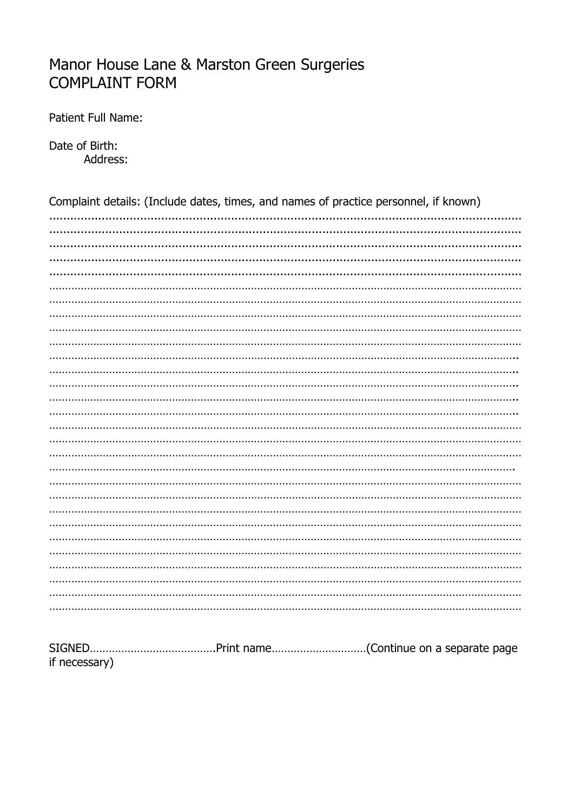## Manor House Lane & Marston Green Surgeries **COMPLAINT FORM**

Patient Full Name:

Date of Birth: Address:

| Complaint details: (Include dates, times, and names of practice personnel, if known) |  |  |
|--------------------------------------------------------------------------------------|--|--|
|                                                                                      |  |  |
|                                                                                      |  |  |
|                                                                                      |  |  |
|                                                                                      |  |  |
|                                                                                      |  |  |
|                                                                                      |  |  |
|                                                                                      |  |  |
|                                                                                      |  |  |
|                                                                                      |  |  |
|                                                                                      |  |  |
|                                                                                      |  |  |
|                                                                                      |  |  |
|                                                                                      |  |  |
|                                                                                      |  |  |
|                                                                                      |  |  |
|                                                                                      |  |  |
|                                                                                      |  |  |
|                                                                                      |  |  |
|                                                                                      |  |  |
|                                                                                      |  |  |
|                                                                                      |  |  |
|                                                                                      |  |  |
|                                                                                      |  |  |
|                                                                                      |  |  |
|                                                                                      |  |  |
|                                                                                      |  |  |
|                                                                                      |  |  |
|                                                                                      |  |  |

| if necessary) |  |  |
|---------------|--|--|